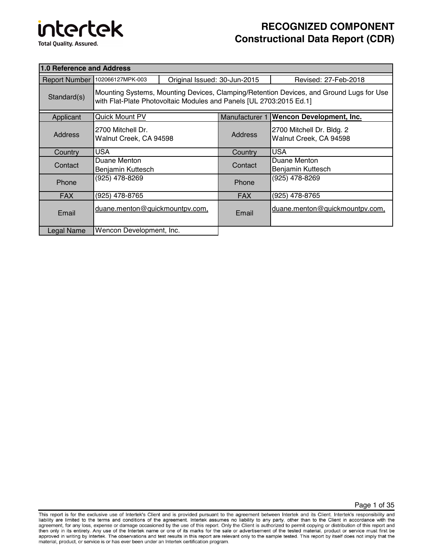# intertek **Total Quality. Assured.**

## **RECOGNIZED COMPONENT Constructional Data Report (CDR)**

| <b>1.0 Reference and Address</b> |                                                                                                                                                                |  |                      |                                                     |
|----------------------------------|----------------------------------------------------------------------------------------------------------------------------------------------------------------|--|----------------------|-----------------------------------------------------|
|                                  | Original Issued: 30-Jun-2015<br>Report Number 102066127MPK-003                                                                                                 |  | Revised: 27-Feb-2018 |                                                     |
| Standard(s)                      | Mounting Systems, Mounting Devices, Clamping/Retention Devices, and Ground Lugs for Use<br>with Flat-Plate Photovoltaic Modules and Panels [UL 2703:2015 Ed.1] |  |                      |                                                     |
| Applicant                        | <b>Quick Mount PV</b>                                                                                                                                          |  | Manufacturer 1       | <b>Wencon Development, Inc.</b>                     |
| <b>Address</b>                   | 2700 Mitchell Dr.<br>Walnut Creek, CA 94598                                                                                                                    |  | <b>Address</b>       | 2700 Mitchell Dr. Bldg. 2<br>Walnut Creek, CA 94598 |
| Country                          | <b>USA</b>                                                                                                                                                     |  | Country              | <b>USA</b>                                          |
| Contact                          | Duane Menton<br>Benjamin Kuttesch                                                                                                                              |  | Contact              | Duane Menton<br>Benjamin Kuttesch                   |
| Phone                            | (925) 478-8269                                                                                                                                                 |  | Phone                | (925) 478-8269                                      |
| <b>FAX</b>                       | (925) 478-8765                                                                                                                                                 |  | <b>FAX</b>           | (925) 478-8765                                      |
| Email                            | duane.menton@quickmountpv.com,                                                                                                                                 |  | Email                | duane.menton@quickmountpv.com,                      |
| Legal Name                       | Wencon Development, Inc.                                                                                                                                       |  |                      |                                                     |

Page 1 of 35

This report is for the exclusive use of Intertek's Client and is provided pursuant to the agreement between Intertek and its Client. Intertek's responsibility and Final tip are limited to the terms and conditions of the agreement. Intertek assumes no liability to any party, other than to the Client in accordance with the agreement, for any loss, expense or damage occasioned by the u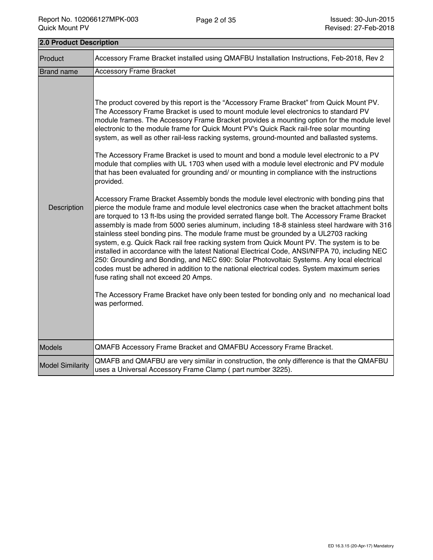| 2.0 Product Description |                                                                                                                                                                                                                                                                                                                                                                                                                                                                                                                                                                                                                                                                                                                                                                                                                                                                                                                                                                                                                                                                                                                                                                                                                                                                                                                                                                                                                                                                                                                                                                                                                                                                                                                                                                                                              |  |
|-------------------------|--------------------------------------------------------------------------------------------------------------------------------------------------------------------------------------------------------------------------------------------------------------------------------------------------------------------------------------------------------------------------------------------------------------------------------------------------------------------------------------------------------------------------------------------------------------------------------------------------------------------------------------------------------------------------------------------------------------------------------------------------------------------------------------------------------------------------------------------------------------------------------------------------------------------------------------------------------------------------------------------------------------------------------------------------------------------------------------------------------------------------------------------------------------------------------------------------------------------------------------------------------------------------------------------------------------------------------------------------------------------------------------------------------------------------------------------------------------------------------------------------------------------------------------------------------------------------------------------------------------------------------------------------------------------------------------------------------------------------------------------------------------------------------------------------------------|--|
| Product                 | Accessory Frame Bracket installed using QMAFBU Installation Instructions, Feb-2018, Rev 2                                                                                                                                                                                                                                                                                                                                                                                                                                                                                                                                                                                                                                                                                                                                                                                                                                                                                                                                                                                                                                                                                                                                                                                                                                                                                                                                                                                                                                                                                                                                                                                                                                                                                                                    |  |
| <b>Brand name</b>       | <b>Accessory Frame Bracket</b>                                                                                                                                                                                                                                                                                                                                                                                                                                                                                                                                                                                                                                                                                                                                                                                                                                                                                                                                                                                                                                                                                                                                                                                                                                                                                                                                                                                                                                                                                                                                                                                                                                                                                                                                                                               |  |
| Description             | The product covered by this report is the "Accessory Frame Bracket" from Quick Mount PV.<br>The Accessory Frame Bracket is used to mount module level electronics to standard PV<br>module frames. The Accessory Frame Bracket provides a mounting option for the module level<br>electronic to the module frame for Quick Mount PV's Quick Rack rail-free solar mounting<br>system, as well as other rail-less racking systems, ground-mounted and ballasted systems.<br>The Accessory Frame Bracket is used to mount and bond a module level electronic to a PV<br>module that complies with UL 1703 when used with a module level electronic and PV module<br>that has been evaluated for grounding and/ or mounting in compliance with the instructions<br>provided.<br>Accessory Frame Bracket Assembly bonds the module level electronic with bonding pins that<br>pierce the module frame and module level electronics case when the bracket attachment bolts<br>are torqued to 13 ft-lbs using the provided serrated flange bolt. The Accessory Frame Bracket<br>assembly is made from 5000 series aluminum, including 18-8 stainless steel hardware with 316<br>stainless steel bonding pins. The module frame must be grounded by a UL2703 racking<br>system, e.g. Quick Rack rail free racking system from Quick Mount PV. The system is to be<br>installed in accordance with the latest National Electrical Code, ANSI/NFPA 70, including NEC<br>250: Grounding and Bonding, and NEC 690: Solar Photovoltaic Systems. Any local electrical<br>codes must be adhered in addition to the national electrical codes. System maximum series<br>fuse rating shall not exceed 20 Amps.<br>The Accessory Frame Bracket have only been tested for bonding only and no mechanical load<br>was performed. |  |
| <b>Models</b>           | QMAFB Accessory Frame Bracket and QMAFBU Accessory Frame Bracket.                                                                                                                                                                                                                                                                                                                                                                                                                                                                                                                                                                                                                                                                                                                                                                                                                                                                                                                                                                                                                                                                                                                                                                                                                                                                                                                                                                                                                                                                                                                                                                                                                                                                                                                                            |  |
| <b>Model Similarity</b> | QMAFB and QMAFBU are very similar in construction, the only difference is that the QMAFBU<br>uses a Universal Accessory Frame Clamp (part number 3225).                                                                                                                                                                                                                                                                                                                                                                                                                                                                                                                                                                                                                                                                                                                                                                                                                                                                                                                                                                                                                                                                                                                                                                                                                                                                                                                                                                                                                                                                                                                                                                                                                                                      |  |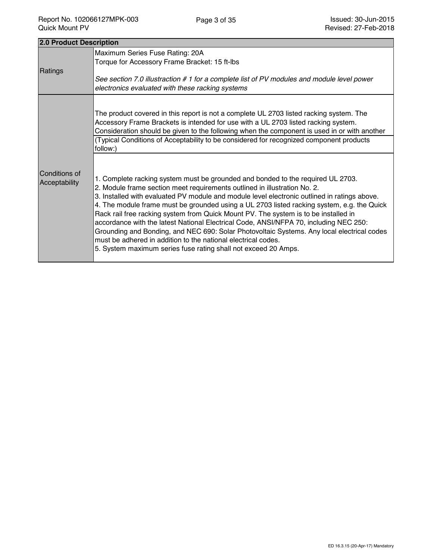| 2.0 Product Description        |                                                                                                                                                                                                                                                                                                                                                                                                                                                                                                                                                                                                                                                                                                                                                                             |
|--------------------------------|-----------------------------------------------------------------------------------------------------------------------------------------------------------------------------------------------------------------------------------------------------------------------------------------------------------------------------------------------------------------------------------------------------------------------------------------------------------------------------------------------------------------------------------------------------------------------------------------------------------------------------------------------------------------------------------------------------------------------------------------------------------------------------|
| Ratings                        | Maximum Series Fuse Rating: 20A<br>Torque for Accessory Frame Bracket: 15 ft-lbs<br>See section 7.0 illustraction #1 for a complete list of PV modules and module level power<br>electronics evaluated with these racking systems                                                                                                                                                                                                                                                                                                                                                                                                                                                                                                                                           |
|                                | The product covered in this report is not a complete UL 2703 listed racking system. The<br>Accessory Frame Brackets is intended for use with a UL 2703 listed racking system.<br>Consideration should be given to the following when the component is used in or with another<br>(Typical Conditions of Acceptability to be considered for recognized component products<br>follow:)                                                                                                                                                                                                                                                                                                                                                                                        |
| Conditions of<br>Acceptability | 1. Complete racking system must be grounded and bonded to the required UL 2703.<br>2. Module frame section meet requirements outlined in illustration No. 2.<br>3. Installed with evaluated PV module and module level electronic outlined in ratings above.<br>4. The module frame must be grounded using a UL 2703 listed racking system, e.g. the Quick<br>Rack rail free racking system from Quick Mount PV. The system is to be installed in<br>accordance with the latest National Electrical Code, ANSI/NFPA 70, including NEC 250:<br>Grounding and Bonding, and NEC 690: Solar Photovoltaic Systems. Any local electrical codes<br>must be adhered in addition to the national electrical codes.<br>5. System maximum series fuse rating shall not exceed 20 Amps. |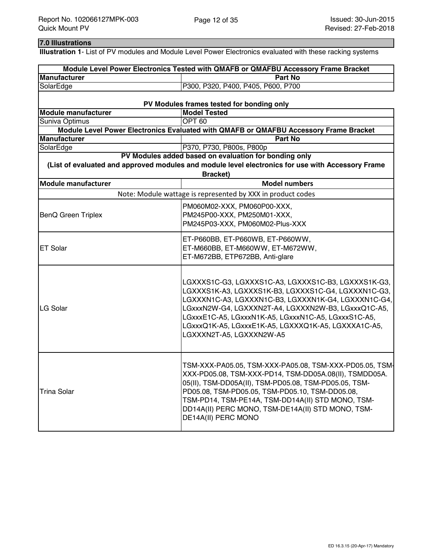### **7.0 Illustrations**

**Illustration 1**- List of PV modules and Module Level Power Electronics evaluated with these racking systems

|                                                   | Module Level Power Electronics Tested with QMAFB or QMAFBU Accessory Frame Bracket                                                                                                                                                                                                                                                                                 |  |
|---------------------------------------------------|--------------------------------------------------------------------------------------------------------------------------------------------------------------------------------------------------------------------------------------------------------------------------------------------------------------------------------------------------------------------|--|
| <b>Manufacturer</b>                               | <b>Part No</b>                                                                                                                                                                                                                                                                                                                                                     |  |
| SolarEdge                                         | P300, P320, P400, P405, P600, P700                                                                                                                                                                                                                                                                                                                                 |  |
|                                                   | PV Modules frames tested for bonding only                                                                                                                                                                                                                                                                                                                          |  |
| <b>Model Tested</b><br><b>Module manufacturer</b> |                                                                                                                                                                                                                                                                                                                                                                    |  |
| Suniva Optimus                                    | OPT <sub>60</sub>                                                                                                                                                                                                                                                                                                                                                  |  |
|                                                   | Module Level Power Electronics Evaluated with QMAFB or QMAFBU Accessory Frame Bracket                                                                                                                                                                                                                                                                              |  |
| <b>Manufacturer</b>                               | <b>Part No</b>                                                                                                                                                                                                                                                                                                                                                     |  |
| SolarEdge                                         | P370, P730, P800s, P800p                                                                                                                                                                                                                                                                                                                                           |  |
|                                                   | PV Modules added based on evaluation for bonding only                                                                                                                                                                                                                                                                                                              |  |
|                                                   | (List of evaluated and approved modules and module level electronics for use with Accessory Frame<br>Bracket)                                                                                                                                                                                                                                                      |  |
| <b>Module manufacturer</b>                        | <b>Model numbers</b>                                                                                                                                                                                                                                                                                                                                               |  |
|                                                   | Note: Module wattage is represented by XXX in product codes                                                                                                                                                                                                                                                                                                        |  |
| <b>BenQ Green Triplex</b>                         | PM060M02-XXX, PM060P00-XXX,<br>PM245P00-XXX, PM250M01-XXX,<br>PM245P03-XXX, PM060M02-Plus-XXX                                                                                                                                                                                                                                                                      |  |
| <b>ET Solar</b>                                   | ET-P660BB, ET-P660WB, ET-P660WW,<br>ET-M660BB, ET-M660WW, ET-M672WW,<br>ET-M672BB, ETP672BB, Anti-glare                                                                                                                                                                                                                                                            |  |
| LG Solar                                          | LGXXXS1C-G3, LGXXXS1C-A3, LGXXXS1C-B3, LGXXXS1K-G3,<br>LGXXXS1K-A3, LGXXXS1K-B3, LGXXXS1C-G4, LGXXXN1C-G3,<br>LGXXXN1C-A3, LGXXXN1C-B3, LGXXXN1K-G4, LGXXXN1C-G4,<br>LGxxxN2W-G4, LGXXXN2T-A4, LGXXXN2W-B3, LGxxxQ1C-A5,<br>LGxxxE1C-A5, LGxxxN1K-A5, LGxxxN1C-A5, LGxxxS1C-A5,<br>LGxxxQ1K-A5, LGxxxE1K-A5, LGXXXQ1K-A5, LGXXXA1C-A5,<br>LGXXXN2T-A5, LGXXXN2W-A5 |  |
| <b>Trina Solar</b>                                | TSM-XXX-PA05.05, TSM-XXX-PA05.08, TSM-XXX-PD05.05, TSM-<br>XXX-PD05.08, TSM-XXX-PD14, TSM-DD05A.08(II), TSMDD05A.<br>05(II), TSM-DD05A(II), TSM-PD05.08, TSM-PD05.05, TSM-<br>PD05.08, TSM-PD05.05, TSM-PD05.10, TSM-DD05.08,<br>TSM-PD14, TSM-PE14A, TSM-DD14A(II) STD MONO, TSM-<br>DD14A(II) PERC MONO, TSM-DE14A(II) STD MONO, TSM-<br>DE14A(II) PERC MONO     |  |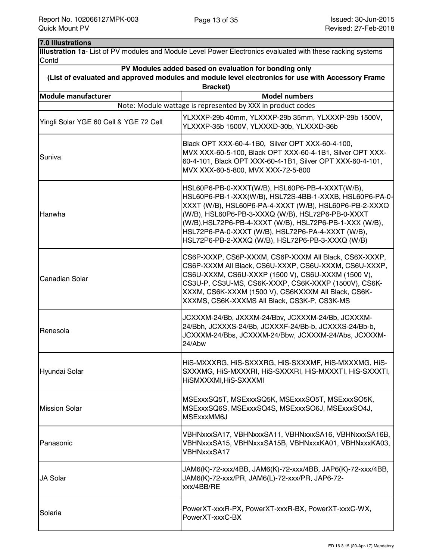#### **7.0 Illustrations**

**Illustration 1a**- List of PV modules and Module Level Power Electronics evaluated with these racking systems **Contd** 

| PV Modules added based on evaluation for bonding only                                                                |                                                                                                                                                                                                                                                                                                                                                                                               |  |  |
|----------------------------------------------------------------------------------------------------------------------|-----------------------------------------------------------------------------------------------------------------------------------------------------------------------------------------------------------------------------------------------------------------------------------------------------------------------------------------------------------------------------------------------|--|--|
| (List of evaluated and approved modules and module level electronics for use with Accessory Frame<br><b>Bracket)</b> |                                                                                                                                                                                                                                                                                                                                                                                               |  |  |
| <b>Module manufacturer</b>                                                                                           | <b>Model numbers</b>                                                                                                                                                                                                                                                                                                                                                                          |  |  |
|                                                                                                                      | Note: Module wattage is represented by XXX in product codes                                                                                                                                                                                                                                                                                                                                   |  |  |
| Yingli Solar YGE 60 Cell & YGE 72 Cell                                                                               | YLXXXP-29b 40mm, YLXXXP-29b 35mm, YLXXXP-29b 1500V,<br>YLXXXP-35b 1500V, YLXXXD-30b, YLXXXD-36b                                                                                                                                                                                                                                                                                               |  |  |
| Suniva                                                                                                               | Black OPT XXX-60-4-1B0, Silver OPT XXX-60-4-100,<br>MVX XXX-60-5-100, Black OPT XXX-60-4-1B1, Silver OPT XXX-<br>60-4-101, Black OPT XXX-60-4-1B1, Silver OPT XXX-60-4-101,<br>MVX XXX-60-5-800, MVX XXX-72-5-800                                                                                                                                                                             |  |  |
| Hanwha                                                                                                               | HSL60P6-PB-0-XXXT(W/B), HSL60P6-PB-4-XXXT(W/B),<br>HSL60P6-PB-1-XXX(W/B), HSL72S-4BB-1-XXXB, HSL60P6-PA-0-<br>XXXT (W/B), HSL60P6-PA-4-XXXT (W/B), HSL60P6-PB-2-XXXQ<br>(W/B), HSL60P6-PB-3-XXXQ (W/B), HSL72P6-PB-0-XXXT<br>(W/B), HSL72P6-PB-4-XXXT (W/B), HSL72P6-PB-1-XXX (W/B),<br>HSL72P6-PA-0-XXXT (W/B), HSL72P6-PA-4-XXXT (W/B),<br>HSL72P6-PB-2-XXXQ (W/B), HSL72P6-PB-3-XXXQ (W/B) |  |  |
| <b>Canadian Solar</b>                                                                                                | CS6P-XXXP, CS6P-XXXM, CS6P-XXXM All Black, CS6X-XXXP,<br>CS6P-XXXM All Black, CS6U-XXXP, CS6U-XXXM, CS6U-XXXP,<br>CS6U-XXXM, CS6U-XXXP (1500 V), CS6U-XXXM (1500 V),<br>CS3U-P, CS3U-MS, CS6K-XXXP, CS6K-XXXP (1500V), CS6K-<br>XXXM, CS6K-XXXM (1500 V), CS6KXXXM All Black, CS6K-<br>XXXMS, CS6K-XXXMS All Black, CS3K-P, CS3K-MS                                                           |  |  |
| Renesola                                                                                                             | JCXXXM-24/Bb, JXXXM-24/Bbv, JCXXXM-24/Bb, JCXXXM-<br>24/Bbh, JCXXXS-24/Bb, JCXXXF-24/Bb-b, JCXXXS-24/Bb-b,<br>JCXXXM-24/Bbs, JCXXXM-24/Bbw, JCXXXM-24/Abs, JCXXXM-<br>24/Abw                                                                                                                                                                                                                  |  |  |
| Hyundai Solar                                                                                                        | HIS-MXXXRG, HIS-SXXXRG, HIS-SXXXMF, HIS-MXXXMG, HIS-<br>SXXXMG, HIS-MXXXRI, HIS-SXXXRI, HIS-MXXXTI, HIS-SXXXTI,<br>HISMXXXMI, HIS-SXXXMI                                                                                                                                                                                                                                                      |  |  |
| <b>Mission Solar</b>                                                                                                 | MSExxxSQ5T, MSExxxSQ5K, MSExxxSO5T, MSExxxSO5K,<br>MSExxxSQ6S, MSExxxSQ4S, MSExxxSO6J, MSExxxSO4J,<br>MSExxxMM6J                                                                                                                                                                                                                                                                              |  |  |
| Panasonic                                                                                                            | VBHNxxxSA17, VBHNxxxSA11, VBHNxxxSA16, VBHNxxxSA16B,<br>VBHNxxxSA15, VBHNxxxSA15B, VBHNxxxKA01, VBHNxxxKA03,<br>VBHNxxxSA17                                                                                                                                                                                                                                                                   |  |  |
| JA Solar                                                                                                             | JAM6(K)-72-xxx/4BB, JAM6(K)-72-xxx/4BB, JAP6(K)-72-xxx/4BB,<br>JAM6(K)-72-xxx/PR, JAM6(L)-72-xxx/PR, JAP6-72-<br>xxx/4BB/RE                                                                                                                                                                                                                                                                   |  |  |
| Solaria                                                                                                              | PowerXT-xxxR-PX, PowerXT-xxxR-BX, PowerXT-xxxC-WX,<br>PowerXT-xxxC-BX                                                                                                                                                                                                                                                                                                                         |  |  |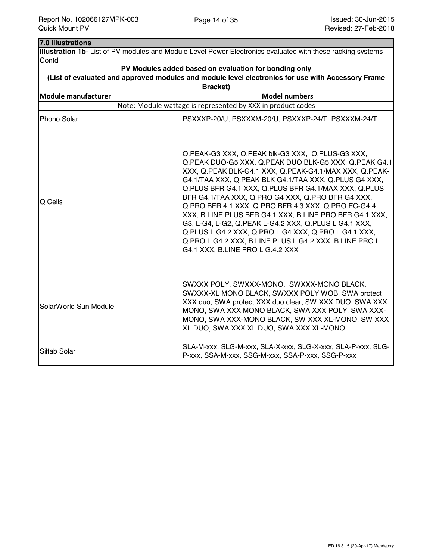| 7.0 Illustrations          |                                                                                                                                                                                                                                                                                                                                                                                                                                                                                                                                                                                                                                                                            |  |  |
|----------------------------|----------------------------------------------------------------------------------------------------------------------------------------------------------------------------------------------------------------------------------------------------------------------------------------------------------------------------------------------------------------------------------------------------------------------------------------------------------------------------------------------------------------------------------------------------------------------------------------------------------------------------------------------------------------------------|--|--|
|                            | Illustration 1b- List of PV modules and Module Level Power Electronics evaluated with these racking systems                                                                                                                                                                                                                                                                                                                                                                                                                                                                                                                                                                |  |  |
| Contd                      |                                                                                                                                                                                                                                                                                                                                                                                                                                                                                                                                                                                                                                                                            |  |  |
|                            | PV Modules added based on evaluation for bonding only                                                                                                                                                                                                                                                                                                                                                                                                                                                                                                                                                                                                                      |  |  |
|                            | (List of evaluated and approved modules and module level electronics for use with Accessory Frame                                                                                                                                                                                                                                                                                                                                                                                                                                                                                                                                                                          |  |  |
|                            | <b>Bracket)</b>                                                                                                                                                                                                                                                                                                                                                                                                                                                                                                                                                                                                                                                            |  |  |
| <b>Module manufacturer</b> | <b>Model numbers</b>                                                                                                                                                                                                                                                                                                                                                                                                                                                                                                                                                                                                                                                       |  |  |
|                            | Note: Module wattage is represented by XXX in product codes                                                                                                                                                                                                                                                                                                                                                                                                                                                                                                                                                                                                                |  |  |
| Phono Solar                | PSXXXP-20/U, PSXXXM-20/U, PSXXXP-24/T, PSXXXM-24/T                                                                                                                                                                                                                                                                                                                                                                                                                                                                                                                                                                                                                         |  |  |
| Q Cells                    | Q.PEAK-G3 XXX, Q.PEAK blk-G3 XXX, Q.PLUS-G3 XXX,<br>Q.PEAK DUO-G5 XXX, Q.PEAK DUO BLK-G5 XXX, Q.PEAK G4.1<br>XXX, Q.PEAK BLK-G4.1 XXX, Q.PEAK-G4.1/MAX XXX, Q.PEAK-<br>G4.1/TAA XXX, Q.PEAK BLK G4.1/TAA XXX, Q.PLUS G4 XXX,<br>Q.PLUS BFR G4.1 XXX, Q.PLUS BFR G4.1/MAX XXX, Q.PLUS<br>BFR G4.1/TAA XXX, Q.PRO G4 XXX, Q.PRO BFR G4 XXX,<br>Q.PRO BFR 4.1 XXX, Q.PRO BFR 4.3 XXX, Q.PRO EC-G4.4<br>XXX, B.LINE PLUS BFR G4.1 XXX, B.LINE PRO BFR G4.1 XXX,<br>G3, L-G4, L-G2, Q.PEAK L-G4.2 XXX, Q.PLUS L G4.1 XXX,<br>Q.PLUS L G4.2 XXX, Q.PRO L G4 XXX, Q.PRO L G4.1 XXX,<br>Q.PRO L G4.2 XXX, B.LINE PLUS L G4.2 XXX, B.LINE PRO L<br>G4.1 XXX, B.LINE PRO L G.4.2 XXX |  |  |
| SolarWorld Sun Module      | SWXXX POLY, SWXXX-MONO, SWXXX-MONO BLACK,<br>SWXXX-XL MONO BLACK, SWXXX POLY WOB, SWA protect<br>XXX duo, SWA protect XXX duo clear, SW XXX DUO, SWA XXX<br>MONO, SWA XXX MONO BLACK, SWA XXX POLY, SWA XXX-<br>MONO, SWA XXX-MONO BLACK, SW XXX XL-MONO, SW XXX<br>XL DUO, SWA XXX XL DUO, SWA XXX XL-MONO                                                                                                                                                                                                                                                                                                                                                                |  |  |
| Silfab Solar               | SLA-M-xxx, SLG-M-xxx, SLA-X-xxx, SLG-X-xxx, SLA-P-xxx, SLG-<br>P-xxx, SSA-M-xxx, SSG-M-xxx, SSA-P-xxx, SSG-P-xxx                                                                                                                                                                                                                                                                                                                                                                                                                                                                                                                                                           |  |  |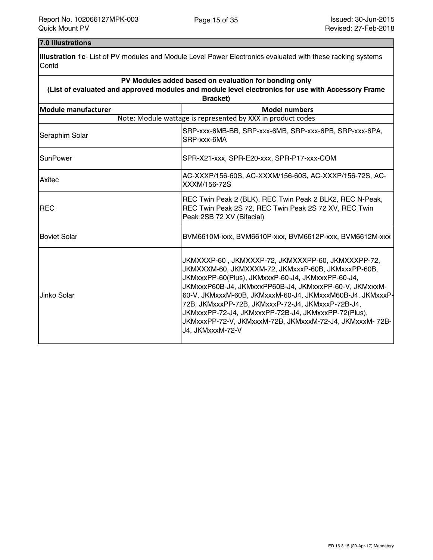### **7.0 Illustrations**

**Illustration 1c**- List of PV modules and Module Level Power Electronics evaluated with these racking systems **Contd** 

| PV Modules added based on evaluation for bonding only                                             |                                                                                                                                                                                                                                                                                                                                                                                                                                                                                 |  |  |
|---------------------------------------------------------------------------------------------------|---------------------------------------------------------------------------------------------------------------------------------------------------------------------------------------------------------------------------------------------------------------------------------------------------------------------------------------------------------------------------------------------------------------------------------------------------------------------------------|--|--|
| (List of evaluated and approved modules and module level electronics for use with Accessory Frame |                                                                                                                                                                                                                                                                                                                                                                                                                                                                                 |  |  |
| Bracket)                                                                                          |                                                                                                                                                                                                                                                                                                                                                                                                                                                                                 |  |  |
| <b>Module manufacturer</b>                                                                        | <b>Model numbers</b>                                                                                                                                                                                                                                                                                                                                                                                                                                                            |  |  |
|                                                                                                   | Note: Module wattage is represented by XXX in product codes                                                                                                                                                                                                                                                                                                                                                                                                                     |  |  |
| Seraphim Solar                                                                                    | SRP-xxx-6MB-BB, SRP-xxx-6MB, SRP-xxx-6PB, SRP-xxx-6PA,<br>SRP-xxx-6MA                                                                                                                                                                                                                                                                                                                                                                                                           |  |  |
| SunPower                                                                                          | SPR-X21-xxx, SPR-E20-xxx, SPR-P17-xxx-COM                                                                                                                                                                                                                                                                                                                                                                                                                                       |  |  |
| Axitec                                                                                            | AC-XXXP/156-60S, AC-XXXM/156-60S, AC-XXXP/156-72S, AC-<br>XXXM/156-72S                                                                                                                                                                                                                                                                                                                                                                                                          |  |  |
| <b>REC</b>                                                                                        | REC Twin Peak 2 (BLK), REC Twin Peak 2 BLK2, REC N-Peak,<br>REC Twin Peak 2S 72, REC Twin Peak 2S 72 XV, REC Twin<br>Peak 2SB 72 XV (Bifacial)                                                                                                                                                                                                                                                                                                                                  |  |  |
| <b>Boviet Solar</b>                                                                               | BVM6610M-xxx, BVM6610P-xxx, BVM6612P-xxx, BVM6612M-xxx                                                                                                                                                                                                                                                                                                                                                                                                                          |  |  |
| Jinko Solar                                                                                       | JKMXXXP-60 , JKMXXXP-72, JKMXXXPP-60, JKMXXXPP-72,<br>JKMXXXM-60, JKMXXXM-72, JKMxxxP-60B, JKMxxxPP-60B,<br>JKMxxxPP-60(Plus), JKMxxxP-60-J4, JKMxxxPP-60-J4,<br>JKMxxxP60B-J4, JKMxxxPP60B-J4, JKMxxxPP-60-V, JKMxxxM-<br>60-V, JKMxxxM-60B, JKMxxxM-60-J4, JKMxxxM60B-J4, JKMxxxP-<br>72B, JKMxxxPP-72B, JKMxxxP-72-J4, JKMxxxP-72B-J4,<br>JKMxxxPP-72-J4, JKMxxxPP-72B-J4, JKMxxxPP-72(Plus),<br>JKMxxxPP-72-V, JKMxxxM-72B, JKMxxxM-72-J4, JKMxxxM-72B-<br>J4, JKMxxxM-72-V |  |  |